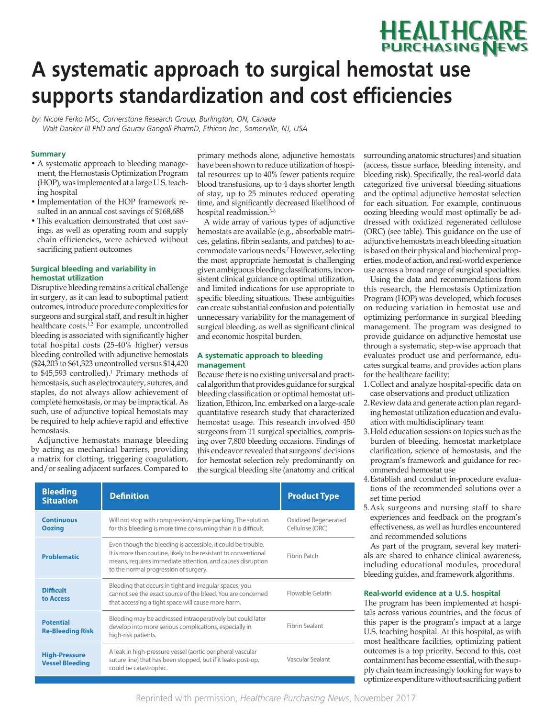# **A systematic approach to surgical hemostat use**  supports standardization and cost efficiencies HEALTHCAR<del>E</del><br>purchasing News

*by: Nicole Ferko MSc, Cornerstone Research Group, Burlington, ON, Canada Walt Danker III PhD and Gaurav Gangoli PharmD, Ethicon Inc., Somerville, NJ, USA*

#### **Summary**

- A systematic approach to bleeding management, the Hemostasis Optimization Program (HOP), was implemented at a large U.S. teaching hospital
- Implementation of the HOP framework resulted in an annual cost savings of \$168,688
- This evaluation demonstrated that cost savings, as well as operating room and supply chain efficiencies, were achieved without sacrificing patient outcomes

#### **Surgical bleeding and variability in hemostat utilization**

Disruptive bleeding remains a critical challenge in surgery, as it can lead to suboptimal patient outcomes, introduce procedure complexities for surgeons and surgical staff, and result in higher healthcare costs.<sup>1,2</sup> For example, uncontrolled bleeding is associated with significantly higher total hospital costs (25-40% higher) versus bleeding controlled with adjunctive hemostats (\$24,203 to \$61,323 uncontrolled versus \$14,420 to  $$45,593$  controlled).<sup>1</sup> Primary methods of hemostasis, such as electrocautery, sutures, and staples, do not always allow achievement of complete hemostasis, or may be impractical. As such, use of adjunctive topical hemostats may be required to help achieve rapid and effective hemostasis.

Adjunctive hemostats manage bleeding by acting as mechanical barriers, providing a matrix for clotting, triggering coagulation, and/or sealing adjacent surfaces. Compared to

primary methods alone, adjunctive hemostats have been shown to reduce utilization of hospital resources: up to 40% fewer patients require blood transfusions, up to 4 days shorter length of stay, up to 25 minutes reduced operating time, and significantly decreased likelihood of hospital readmission.<sup>3-6</sup>

A wide array of various types of adjunctive hemostats are available (e.g., absorbable matrices, gelatins, fibrin sealants, and patches) to accommodate various needs.<sup>7</sup> However, selecting the most appropriate hemostat is challenging given ambiguous bleeding classifications, inconsistent clinical guidance on optimal utilization, and limited indications for use appropriate to specific bleeding situations. These ambiguities can create substantial confusion and potentially unnecessary variability for the management of surgical bleeding, as well as significant clinical and economic hospital burden.

#### **A systematic approach to bleeding management**

Because there is no existing universal and practical algorithm that provides guidance for surgical bleeding classification or optimal hemostat utilization, Ethicon, Inc. embarked on a large-scale quantitative research study that characterized hemostat usage. This research involved 450 surgeons from 11 surgical specialties, comprising over 7,800 bleeding occasions. Findings of this endeavor revealed that surgeons' decisions for hemostat selection rely predominantly on the surgical bleeding site (anatomy and critical

| <b>Bleeding</b><br><b>Situation</b>            | <b>Definition</b>                                                                                                                                                                                                                      | <b>Product Type</b>                     |
|------------------------------------------------|----------------------------------------------------------------------------------------------------------------------------------------------------------------------------------------------------------------------------------------|-----------------------------------------|
| <b>Continuous</b><br><b>Oozing</b>             | Will not stop with compression/simple packing. The solution<br>for this bleeding is more time consuming than it is difficult.                                                                                                          | Oxidized Regenerated<br>Cellulose (ORC) |
| <b>Problematic</b>                             | Even though the bleeding is accessible, it could be trouble.<br>It is more than routine, likely to be resistant to conventional<br>means, requires immediate attention, and causes disruption<br>to the normal progression of surgery. | Fibrin Patch                            |
| <b>Difficult</b><br>to Access                  | Bleeding that occurs in tight and irregular spaces; you<br>cannot see the exact source of the bleed. You are concerned<br>that accessing a tight space will cause more harm.                                                           | Flowable Gelatin                        |
| <b>Potential</b><br><b>Re-Bleeding Risk</b>    | Bleeding may be addressed intraoperatively but could later<br>develop into more serious complications, especially in<br>high-risk patients.                                                                                            | <b>Fibrin Sealant</b>                   |
| <b>High-Pressure</b><br><b>Vessel Bleeding</b> | A leak in high-pressure vessel (aortic peripheral vascular<br>suture line) that has been stopped, but if it leaks post-op,<br>could be catastrophic.                                                                                   | Vascular Sealant                        |

surrounding anatomic structures) and situation (access, tissue surface, bleeding intensity, and bleeding risk). Specifically, the real-world data categorized five universal bleeding situations and the optimal adjunctive hemostat selection for each situation. For example, continuous oozing bleeding would most optimally be addressed with oxidized regenerated cellulose (ORC) (see table). This guidance on the use of adjunctive hemostats in each bleeding situation is based on their physical and biochemical properties, mode of action, and real-world experience use across a broad range of surgical specialties.

**HEALTHCARE** 

Using the data and recommendations from this research, the Hemostasis Optimization Program (HOP) was developed, which focuses on reducing variation in hemostat use and optimizing performance in surgical bleeding management. The program was designed to provide guidance on adjunctive hemostat use through a systematic, step-wise approach that evaluates product use and performance, educates surgical teams, and provides action plans for the healthcare facility:

- 1. Collect and analyze hospital-specific data on case observations and product utilization
- 2. Review data and generate action plan regarding hemostat utilization education and evaluation with multidisciplinary team
- 3. Hold education sessions on topics such as the burden of bleeding, hemostat marketplace clarification, science of hemostasis, and the program's framework and guidance for recommended hemostat use
- 4. Establish and conduct in-procedure evaluations of the recommended solutions over a set time period
- 5. Ask surgeons and nursing staff to share experiences and feedback on the program's effectiveness, as well as hurdles encountered and recommended solutions

As part of the program, several key materials are shared to enhance clinical awareness, including educational modules, procedural bleeding guides, and framework algorithms.

## **Real-world evidence at a U.S. hospital**

The program has been implemented at hospitals across various countries, and the focus of this paper is the program's impact at a large U.S. teaching hospital. At this hospital, as with most healthcare facilities, optimizing patient outcomes is a top priority. Second to this, cost containment has become essential, with the supply chain team increasingly looking for ways to optimize expenditure without sacrificing patient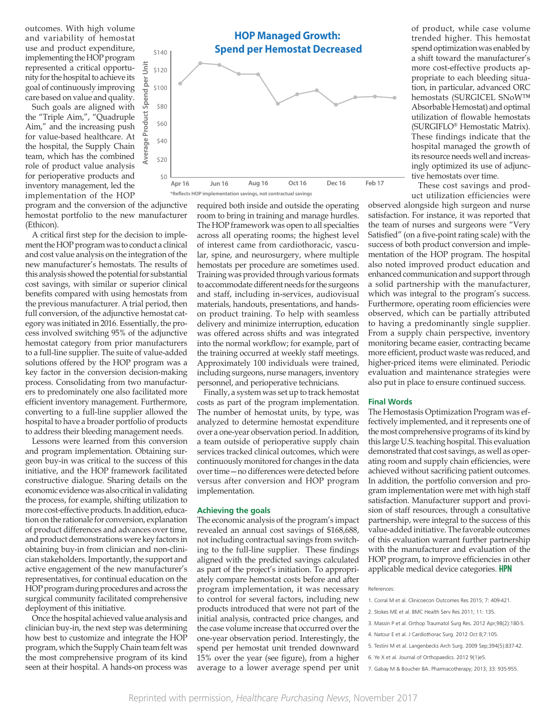outcomes. With high volume and variability of hemostat use and product expenditure, implementing the HOP program represented a critical opportunity for the hospital to achieve its goal of continuously improving care based on value and quality.

Such goals are aligned with the "Triple Aim,", "Quadruple Aim," and the increasing push for value-based healthcare. At the hospital, the Supply Chain team, which has the combined role of product value analysis for perioperative products and inventory management, led the implementation of the HOP

program and the conversion of the adjunctive hemostat portfolio to the new manufacturer (Ethicon).

A critical first step for the decision to implement the HOP program was to conduct a clinical and cost value analysis on the integration of the new manufacturer's hemostats. The results of this analysis showed the potential for substantial cost savings, with similar or superior clinical benefits compared with using hemostats from the previous manufacturer. A trial period, then full conversion, of the adjunctive hemostat category was initiated in 2016. Essentially, the process involved switching 95% of the adjunctive hemostat category from prior manufacturers to a full-line supplier. The suite of value-added solutions offered by the HOP program was a key factor in the conversion decision-making process. Consolidating from two manufacturers to predominately one also facilitated more efficient inventory management. Furthermore, converting to a full-line supplier allowed the hospital to have a broader portfolio of products to address their bleeding management needs.

Lessons were learned from this conversion and program implementation. Obtaining surgeon buy-in was critical to the success of this initiative, and the HOP framework facilitated constructive dialogue. Sharing details on the economic evidence was also critical in validating the process, for example, shifting utilization to more cost-effective products. In addition, education on the rationale for conversion, explanation of product differences and advances over time, and product demonstrations were key factors in obtaining buy-in from clinician and non-clinician stakeholders. Importantly, the support and active engagement of the new manufacturer's representatives, for continual education on the HOP program during procedures and across the surgical community facilitated comprehensive deployment of this initiative.

Once the hospital achieved value analysis and clinician buy-in, the next step was determining how best to customize and integrate the HOP program, which the Supply Chain team felt was the most comprehensive program of its kind seen at their hospital. A hands-on process was



required both inside and outside the operating room to bring in training and manage hurdles. The HOP framework was open to all specialties across all operating rooms; the highest level of interest came from cardiothoracic, vascular, spine, and neurosurgery, where multiple hemostats per procedure are sometimes used. Training was provided through various formats to accommodate different needs for the surgeons and staff, including in-services, audiovisual materials, handouts, presentations, and handson product training. To help with seamless delivery and minimize interruption, education was offered across shifts and was integrated into the normal workflow; for example, part of the training occurred at weekly staff meetings. Approximately 100 individuals were trained, including surgeons, nurse managers, inventory personnel, and perioperative technicians.

Finally, a system was set up to track hemostat costs as part of the program implementation. The number of hemostat units, by type, was analyzed to determine hemostat expenditure over a one-year observation period. In addition, a team outside of perioperative supply chain services tracked clinical outcomes, which were continuously monitored for changes in the data over time—no differences were detected before versus after conversion and HOP program implementation.

#### **Achieving the goals**

The economic analysis of the program's impact revealed an annual cost savings of \$168,688, not including contractual savings from switching to the full-line supplier. These findings aligned with the predicted savings calculated as part of the project's initiation. To appropriately compare hemostat costs before and after program implementation, it was necessary to control for several factors, including new products introduced that were not part of the initial analysis, contracted price changes, and the case volume increase that occurred over the one-year observation period. Interestingly, the spend per hemostat unit trended downward 15% over the year (see figure), from a higher average to a lower average spend per unit

of product, while case volume trended higher. This hemostat spend optimization was enabled by a shift toward the manufacturer's more cost-effective products appropriate to each bleeding situation, in particular, advanced ORC hemostats (SURGICEL SNoW™ Absorbable Hemostat) and optimal utilization of flowable hemostats (SURGIFLO® Hemostatic Matrix). These findings indicate that the hospital managed the growth of its resource needs well and increasingly optimized its use of adjunctive hemostats over time.

These cost savings and product utilization efficiencies were

observed alongside high surgeon and nurse satisfaction. For instance, it was reported that the team of nurses and surgeons were "Very Satisfied" (on a five-point rating scale) with the success of both product conversion and implementation of the HOP program. The hospital also noted improved product education and enhanced communication and support through a solid partnership with the manufacturer, which was integral to the program's success. Furthermore, operating room efficiencies were observed, which can be partially attributed to having a predominantly single supplier. From a supply chain perspective, inventory monitoring became easier, contracting became more efficient, product waste was reduced, and higher-priced items were eliminated. Periodic evaluation and maintenance strategies were also put in place to ensure continued success.

#### **Final Words**

The Hemostasis Optimization Program was effectively implemented, and it represents one of the most comprehensive programs of its kind by this large U.S. teaching hospital. This evaluation demonstrated that cost savings, as well as operating room and supply chain efficiencies, were achieved without sacrificing patient outcomes. In addition, the portfolio conversion and program implementation were met with high staff satisfaction. Manufacturer support and provision of staff resources, through a consultative partnership, were integral to the success of this value-added initiative. The favorable outcomes of this evaluation warrant further partnership with the manufacturer and evaluation of the HOP program, to improve efficiencies in other applicable medical device categories. **HPN** 

#### References:

- 1. Corral M et al. Clinicoecon Outcomes Res 2015; 7: 409-421.
- 2. Stokes ME et al. BMC Health Serv Res 2011; 11: 135.
- 3. Massin P et al. Orthop Traumatol Surg Res. 2012 Apr;98(2):180-5.
- 4. Natour E et al. J Cardiothorac Surg. 2012 Oct 8;7:105.
- 5. Testini M et al. Langenbecks Arch Surg. 2009 Sep;394(5):837-42.
- 6. Ye X et al. Journal of Orthopaedics. 2012 9(1)e5.
- 7. Gabay M & Boucher BA. Pharmacotherapy; 2013; 33: 935-955.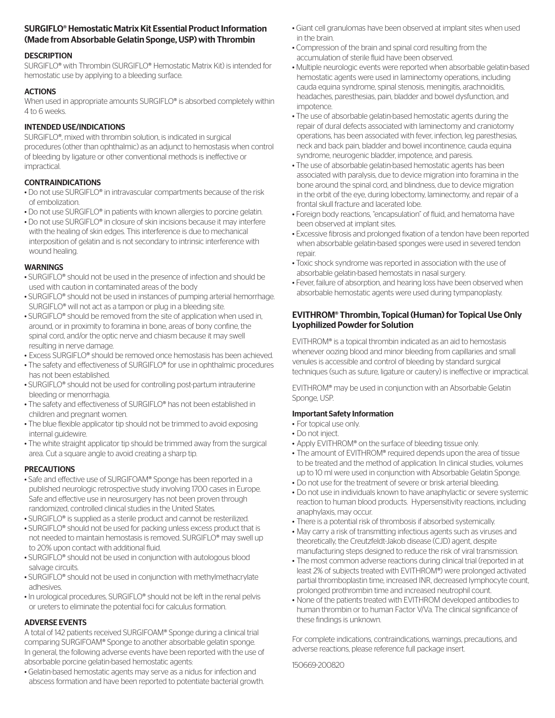## SURGIFLO® Hemostatic Matrix Kit Essential Product Information (Made from Absorbable Gelatin Sponge, USP) with Thrombin

## **DESCRIPTION**

SURGIFLO® with Thrombin (SURGIFLO® Hemostatic Matrix Kit) is intended for hemostatic use by applying to a bleeding surface.

## **ACTIONS**

When used in appropriate amounts SURGIFLO<sup>®</sup> is absorbed completely within 4 to 6 weeks.

## INTENDED USE/INDICATIONS

SURGIFLO®, mixed with thrombin solution, is indicated in surgical procedures (other than ophthalmic) as an adjunct to hemostasis when control of bleeding by ligature or other conventional methods is ineffective or impractical.

## CONTRAINDICATIONS

- Do not use SURGIFLO® in intravascular compartments because of the risk of embolization.
- Do not use SURGIFLO® in patients with known allergies to porcine gelatin.
- Do not use SURGIFLO® in closure of skin incisions because it may interfere with the healing of skin edges. This interference is due to mechanical interposition of gelatin and is not secondary to intrinsic interference with wound healing.

## **WARNINGS**

- SURGIFLO® should not be used in the presence of infection and should be used with caution in contaminated areas of the body
- SURGIFLO® should not be used in instances of pumping arterial hemorrhage. SURGIFLO® will not act as a tampon or plug in a bleeding site.
- SURGIFLO® should be removed from the site of application when used in, around, or in proximity to foramina in bone, areas of bony confine, the spinal cord, and/or the optic nerve and chiasm because it may swell resulting in nerve damage.
- Excess SURGIFLO® should be removed once hemostasis has been achieved.
- The safety and effectiveness of SURGIFLO® for use in ophthalmic procedures has not been established.
- SURGIFLO® should not be used for controlling post-partum intrauterine bleeding or menorrhagia.
- The safety and effectiveness of SURGIFLO® has not been established in children and pregnant women.
- The blue flexible applicator tip should not be trimmed to avoid exposing internal guidewire.
- The white straight applicator tip should be trimmed away from the surgical area. Cut a square angle to avoid creating a sharp tip.

## **PRECAUTIONS**

- Safe and effective use of SURGIFOAM® Sponge has been reported in a published neurologic retrospective study involving 1700 cases in Europe. Safe and effective use in neurosurgery has not been proven through randomized, controlled clinical studies in the United States.
- SURGIFLO® is supplied as a sterile product and cannot be resterilized.
- SURGIFLO® should not be used for packing unless excess product that is not needed to maintain hemostasis is removed. SURGIFLO® may swell up to 20% upon contact with additional fluid.
- SURGIFLO® should not be used in conjunction with autologous blood salvage circuits.
- SURGIFLO® should not be used in conjunction with methylmethacrylate adhesives.
- In urological procedures, SURGIFLO® should not be left in the renal pelvis or ureters to eliminate the potential foci for calculus formation.

## ADVERSE EVENTS

A total of 142 patients received SURGIFOAM® Sponge during a clinical trial comparing SURGIFOAM® Sponge to another absorbable gelatin sponge. In general, the following adverse events have been reported with the use of absorbable porcine gelatin-based hemostatic agents:

• Gelatin-based hemostatic agents may serve as a nidus for infection and abscess formation and have been reported to potentiate bacterial growth.

- Giant cell granulomas have been observed at implant sites when used in the brain.
- Compression of the brain and spinal cord resulting from the accumulation of sterile fluid have been observed.
- Multiple neurologic events were reported when absorbable gelatin-based hemostatic agents were used in laminectomy operations, including cauda equina syndrome, spinal stenosis, meningitis, arachnoiditis, headaches, paresthesias, pain, bladder and bowel dysfunction, and impotence.
- The use of absorbable gelatin-based hemostatic agents during the repair of dural defects associated with laminectomy and craniotomy operations, has been associated with fever, infection, leg paresthesias, neck and back pain, bladder and bowel incontinence, cauda equina syndrome, neurogenic bladder, impotence, and paresis.
- The use of absorbable gelatin-based hemostatic agents has been associated with paralysis, due to device migration into foramina in the bone around the spinal cord, and blindness, due to device migration in the orbit of the eye, during lobectomy, laminectomy, and repair of a frontal skull fracture and lacerated lobe.
- Foreign body reactions, "encapsulation" of fluid, and hematoma have been observed at implant sites.
- Excessive fibrosis and prolonged fixation of a tendon have been reported when absorbable gelatin-based sponges were used in severed tendon repair.
- Toxic shock syndrome was reported in association with the use of absorbable gelatin-based hemostats in nasal surgery.
- Fever, failure of absorption, and hearing loss have been observed when absorbable hemostatic agents were used during tympanoplasty.

## EVITHROM® Thrombin, Topical (Human) for Topical Use Only Lyophilized Powder for Solution

EVITHROM® is a topical thrombin indicated as an aid to hemostasis whenever oozing blood and minor bleeding from capillaries and small venules is accessible and control of bleeding by standard surgical techniques (such as suture, ligature or cautery) is ineffective or impractical.

EVITHROM® may be used in conjunction with an Absorbable Gelatin Sponge, USP.

## Important Safety Information

- For topical use only.
- Do not inject.
- Apply EVITHROM® on the surface of bleeding tissue only.
- The amount of EVITHROM® required depends upon the area of tissue to be treated and the method of application. In clinical studies, volumes up to 10 ml were used in conjunction with Absorbable Gelatin Sponge.
- Do not use for the treatment of severe or brisk arterial bleeding.
- Do not use in individuals known to have anaphylactic or severe systemic reaction to human blood products. Hypersensitivity reactions, including anaphylaxis, may occur.
- There is a potential risk of thrombosis if absorbed systemically.
- May carry a risk of transmitting infectious agents such as viruses and theoretically, the Creutzfeldt-Jakob disease (CJD) agent, despite manufacturing steps designed to reduce the risk of viral transmission.
- The most common adverse reactions during clinical trial (reported in at least 2% of subjects treated with EVITHROM®) were prolonged activated partial thromboplastin time, increased INR, decreased lymphocyte count, prolonged prothrombin time and increased neutrophil count.
- None of the patients treated with EVITHROM developed antibodies to human thrombin or to human Factor V/Va. The clinical significance of these findings is unknown.

For complete indications, contraindications, warnings, precautions, and adverse reactions, please reference full package insert.

150669-200820